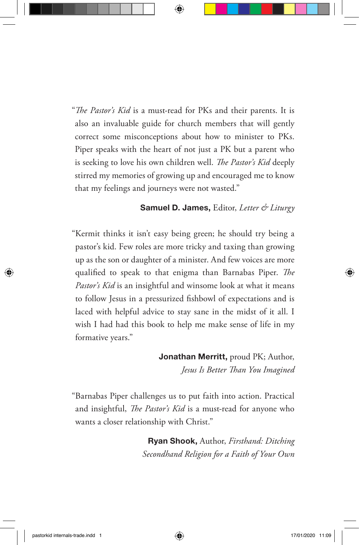"*Te Pastor's Kid* is a must-read for PKs and their parents. It is also an invaluable guide for church members that will gently correct some misconceptions about how to minister to PKs. Piper speaks with the heart of not just a PK but a parent who is seeking to love his own children well. *Te Pastor's Kid* deeply stirred my memories of growing up and encouraged me to know that my feelings and journeys were not wasted."

### **Samuel D. James,** Editor, *Letter & Liturgy*

"Kermit thinks it isn't easy being green; he should try being a pastor's kid. Few roles are more tricky and taxing than growing up as the son or daughter of a minister. And few voices are more qualifed to speak to that enigma than Barnabas Piper. *Te Pastor's Kid* is an insightful and winsome look at what it means to follow Jesus in a pressurized fshbowl of expectations and is laced with helpful advice to stay sane in the midst of it all. I wish I had had this book to help me make sense of life in my formative years."

> **Jonathan Merritt,** proud PK; Author, *Jesus Is Better Tan You Imagined*

"Barnabas Piper challenges us to put faith into action. Practical and insightful, *Te Pastor's Kid* is a must-read for anyone who wants a closer relationship with Christ."

> **Ryan Shook,** Author, *Firsthand: Ditching Secondhand Religion for a Faith of Your Own*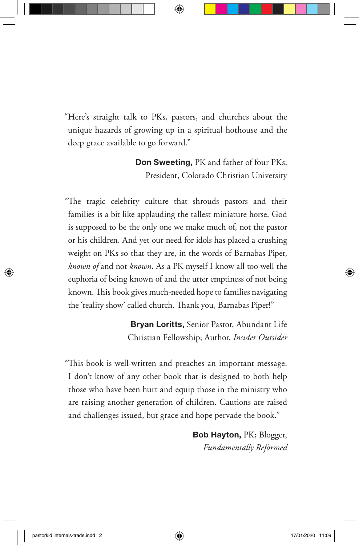"Here's straight talk to PKs, pastors, and churches about the unique hazards of growing up in a spiritual hothouse and the deep grace available to go forward."

> **Don Sweeting,** PK and father of four PKs; President, Colorado Christian University

"The tragic celebrity culture that shrouds pastors and their families is a bit like applauding the tallest miniature horse. God is supposed to be the only one we make much of, not the pastor or his children. And yet our need for idols has placed a crushing weight on PKs so that they are, in the words of Barnabas Piper, *known of* and not *known*. As a PK myself I know all too well the euphoria of being known of and the utter emptiness of not being known. This book gives much-needed hope to families navigating the 'reality show' called church. Thank you, Barnabas Piper!"

> **Bryan Loritts,** Senior Pastor, Abundant Life Christian Fellowship; Author, *Insider Outsider*

"This book is well-written and preaches an important message. I don't know of any other book that is designed to both help those who have been hurt and equip those in the ministry who are raising another generation of children. Cautions are raised and challenges issued, but grace and hope pervade the book."

> **Bob Hayton,** PK; Blogger, *Fundamentally Reformed*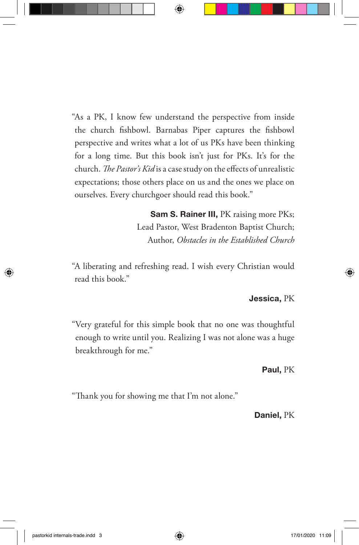"As a PK, I know few understand the perspective from inside the church fshbowl. Barnabas Piper captures the fshbowl perspective and writes what a lot of us PKs have been thinking for a long time. But this book isn't just for PKs. It's for the church. *The Pastor's Kid* is a case study on the effects of unrealistic expectations; those others place on us and the ones we place on ourselves. Every churchgoer should read this book."

> **Sam S. Rainer III, PK raising more PKs;** Lead Pastor, West Bradenton Baptist Church; Author, *Obstacles in the Established Church*

"A liberating and refreshing read. I wish every Christian would read this book."

### **Jessica,** PK

"Very grateful for this simple book that no one was thoughtful enough to write until you. Realizing I was not alone was a huge breakthrough for me."

**Paul,** PK

"Thank you for showing me that I'm not alone."

**Daniel,** PK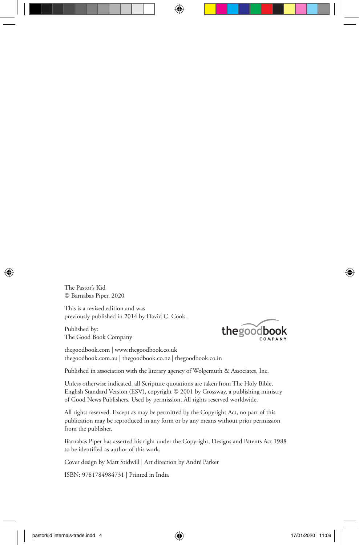The Pastor's Kid © Barnabas Piper, 2020

This is a revised edition and was previously published in 2014 by David C. Cook.

Published by: The Good Book Company



thegoodbook.com | www.thegoodbook.co.uk thegoodbook.com.au | thegoodbook.co.nz | thegoodbook.co.in

Published in association with the literary agency of Wolgemuth & Associates, Inc.

Unless otherwise indicated, all Scripture quotations are taken from The Holy Bible, English Standard Version (ESV), copyright © 2001 by Crossway, a publishing ministry of Good News Publishers. Used by permission. All rights reserved worldwide.

All rights reserved. Except as may be permitted by the Copyright Act, no part of this publication may be reproduced in any form or by any means without prior permission from the publisher.

Barnabas Piper has asserted his right under the Copyright, Designs and Patents Act 1988 to be identified as author of this work.

Cover design by Matt Stidwill | Art direction by André Parker

ISBN: 9781784984731 | Printed in India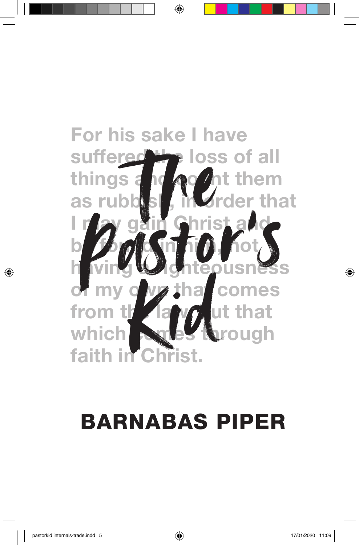## **For his sake I have suffered the loss of all things and count them** as rubbis**h**, in **U**rder that **I may gain Christ and b** *fon* **in him, not** h iving **W** chteousness of my only that comes from the law ut that which **comes** through **F** my christ. The Suite **Pasto folkets**

# BARNABAS PIPER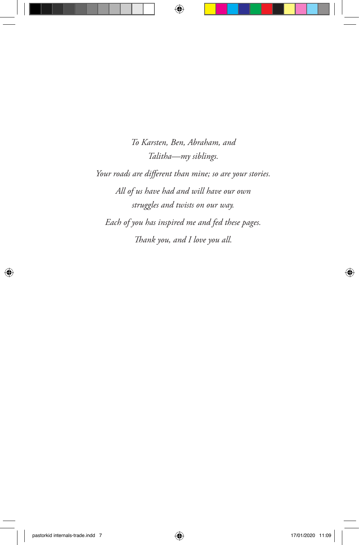*To Karsten, Ben, Abraham, and Talitha—my siblings. Your roads are diferent than mine; so are your stories. All of us have had and will have our own struggles and twists on our way. Each of you has inspired me and fed these pages. Tank you, and I love you all.*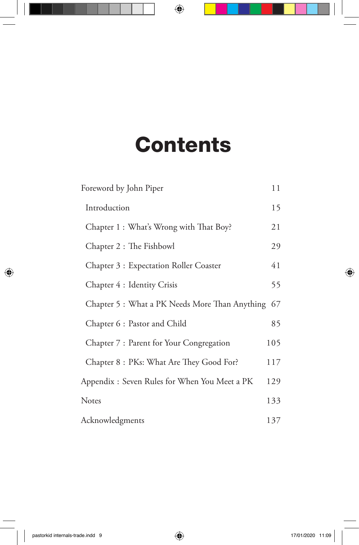# **Contents**

| Foreword by John Piper                        | 11  |
|-----------------------------------------------|-----|
| Introduction                                  | 15  |
| Chapter 1: What's Wrong with That Boy?        | 21  |
| Chapter 2 : The Fishbowl                      | 29  |
| Chapter 3 : Expectation Roller Coaster        | 41  |
| Chapter 4 : Identity Crisis                   | 55  |
| Chapter 5: What a PK Needs More Than Anything | 67  |
| Chapter 6 : Pastor and Child                  | 85  |
| Chapter 7 : Parent for Your Congregation      | 105 |
| Chapter 8: PKs: What Are They Good For?       | 117 |
| Appendix: Seven Rules for When You Meet a PK  | 129 |
| <b>Notes</b>                                  | 133 |
| Acknowledgments                               | 137 |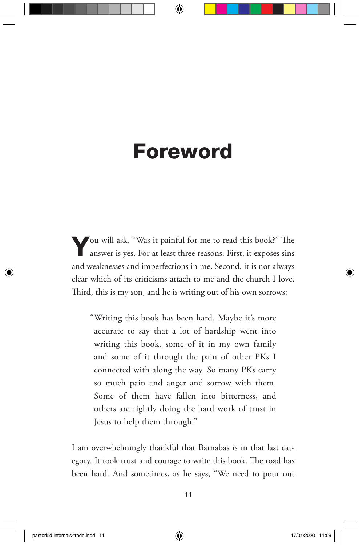## Foreword

**Y**ou will ask, "Was it painful for me to read this book?" The answer is yes. For at least three reasons. First, it exposes sins and weaknesses and imperfections in me. Second, it is not always clear which of its criticisms attach to me and the church I love. Third, this is my son, and he is writing out of his own sorrows:

"Writing this book has been hard. Maybe it's more accurate to say that a lot of hardship went into writing this book, some of it in my own family and some of it through the pain of other PKs I connected with along the way. So many PKs carry so much pain and anger and sorrow with them. Some of them have fallen into bitterness, and others are rightly doing the hard work of trust in Jesus to help them through."

I am overwhelmingly thankful that Barnabas is in that last category. It took trust and courage to write this book. The road has been hard. And sometimes, as he says, "We need to pour out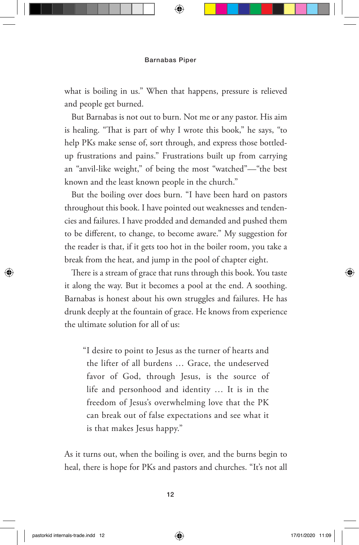what is boiling in us." When that happens, pressure is relieved and people get burned.

But Barnabas is not out to burn. Not me or any pastor. His aim is healing. "That is part of why I wrote this book," he says, "to help PKs make sense of, sort through, and express those bottledup frustrations and pains." Frustrations built up from carrying an "anvil-like weight," of being the most "watched"—"the best known and the least known people in the church."

But the boiling over does burn. "I have been hard on pastors throughout this book. I have pointed out weaknesses and tendencies and failures. I have prodded and demanded and pushed them to be diferent, to change, to become aware." My suggestion for the reader is that, if it gets too hot in the boiler room, you take a break from the heat, and jump in the pool of chapter eight.

There is a stream of grace that runs through this book. You taste it along the way. But it becomes a pool at the end. A soothing. Barnabas is honest about his own struggles and failures. He has drunk deeply at the fountain of grace. He knows from experience the ultimate solution for all of us:

"I desire to point to Jesus as the turner of hearts and the lifter of all burdens … Grace, the undeserved favor of God, through Jesus, is the source of life and personhood and identity … It is in the freedom of Jesus's overwhelming love that the PK can break out of false expectations and see what it is that makes Jesus happy."

As it turns out, when the boiling is over, and the burns begin to heal, there is hope for PKs and pastors and churches. "It's not all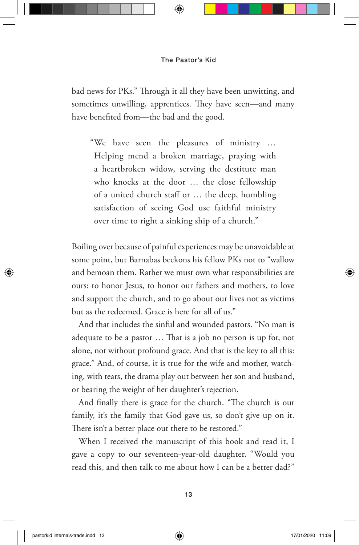#### The Pastor's Kid

bad news for PKs." Through it all they have been unwitting, and sometimes unwilling, apprentices. They have seen—and many have benefted from—the bad and the good.

"We have seen the pleasures of ministry … Helping mend a broken marriage, praying with a heartbroken widow, serving the destitute man who knocks at the door … the close fellowship of a united church staf or … the deep, humbling satisfaction of seeing God use faithful ministry over time to right a sinking ship of a church."

Boiling over because of painful experiences may be unavoidable at some point, but Barnabas beckons his fellow PKs not to "wallow and bemoan them. Rather we must own what responsibilities are ours: to honor Jesus, to honor our fathers and mothers, to love and support the church, and to go about our lives not as victims but as the redeemed. Grace is here for all of us."

And that includes the sinful and wounded pastors. "No man is adequate to be a pastor  $\ldots$  That is a job no person is up for, not alone, not without profound grace. And that is the key to all this: grace." And, of course, it is true for the wife and mother, watching, with tears, the drama play out between her son and husband, or bearing the weight of her daughter's rejection.

And finally there is grace for the church. "The church is our family, it's the family that God gave us, so don't give up on it. There isn't a better place out there to be restored."

When I received the manuscript of this book and read it, I gave a copy to our seventeen-year-old daughter. "Would you read this, and then talk to me about how I can be a better dad?"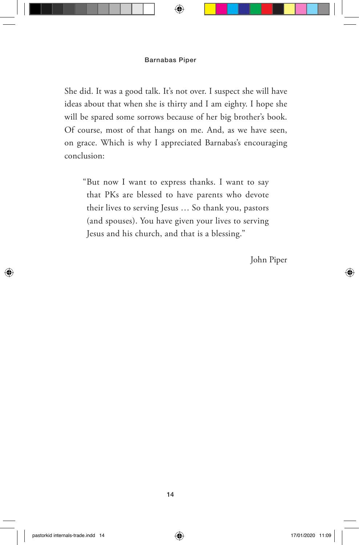She did. It was a good talk. It's not over. I suspect she will have ideas about that when she is thirty and I am eighty. I hope she will be spared some sorrows because of her big brother's book. Of course, most of that hangs on me. And, as we have seen, on grace. Which is why I appreciated Barnabas's encouraging conclusion:

"But now I want to express thanks. I want to say that PKs are blessed to have parents who devote their lives to serving Jesus … So thank you, pastors (and spouses). You have given your lives to serving Jesus and his church, and that is a blessing."

John Piper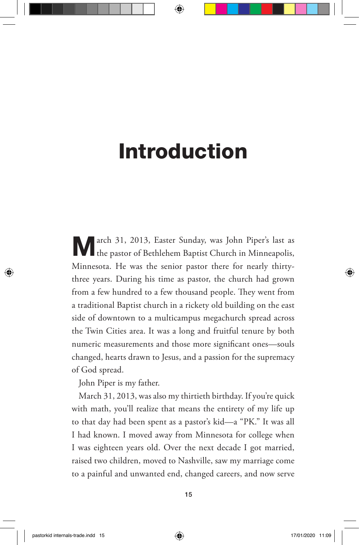## Introduction

**M**arch 31, 2013, Easter Sunday, was John Piper's last as the pastor of Bethlehem Baptist Church in Minneapolis, Minnesota. He was the senior pastor there for nearly thirtythree years. During his time as pastor, the church had grown from a few hundred to a few thousand people. They went from a traditional Baptist church in a rickety old building on the east side of downtown to a multicampus megachurch spread across the Twin Cities area. It was a long and fruitful tenure by both numeric measurements and those more signifcant ones—souls changed, hearts drawn to Jesus, and a passion for the supremacy of God spread.

John Piper is my father.

March 31, 2013, was also my thirtieth birthday. If you're quick with math, you'll realize that means the entirety of my life up to that day had been spent as a pastor's kid—a "PK." It was all I had known. I moved away from Minnesota for college when I was eighteen years old. Over the next decade I got married, raised two children, moved to Nashville, saw my marriage come to a painful and unwanted end, changed careers, and now serve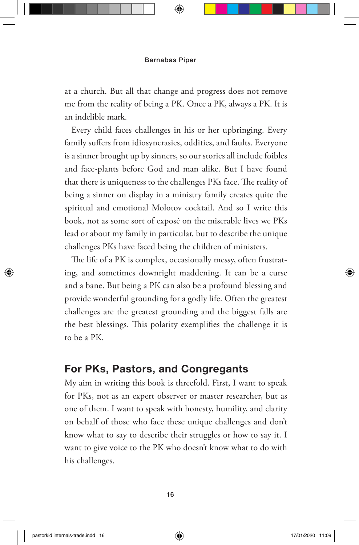#### Barnabas Piper

at a church. But all that change and progress does not remove me from the reality of being a PK. Once a PK, always a PK. It is an indelible mark.

Every child faces challenges in his or her upbringing. Every family sufers from idiosyncrasies, oddities, and faults. Everyone is a sinner brought up by sinners, so our stories all include foibles and face-plants before God and man alike. But I have found that there is uniqueness to the challenges PKs face. The reality of being a sinner on display in a ministry family creates quite the spiritual and emotional Molotov cocktail. And so I write this book, not as some sort of exposé on the miserable lives we PKs lead or about my family in particular, but to describe the unique challenges PKs have faced being the children of ministers.

The life of a PK is complex, occasionally messy, often frustrating, and sometimes downright maddening. It can be a curse and a bane. But being a PK can also be a profound blessing and provide wonderful grounding for a godly life. Often the greatest challenges are the greatest grounding and the biggest falls are the best blessings. This polarity exemplifies the challenge it is to be a PK.

## **For PKs, Pastors, and Congregants**

My aim in writing this book is threefold. First, I want to speak for PKs, not as an expert observer or master researcher, but as one of them. I want to speak with honesty, humility, and clarity on behalf of those who face these unique challenges and don't know what to say to describe their struggles or how to say it. I want to give voice to the PK who doesn't know what to do with his challenges.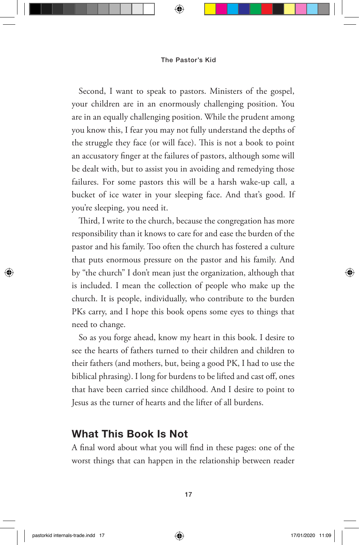#### The Pastor's Kid

Second, I want to speak to pastors. Ministers of the gospel, your children are in an enormously challenging position. You are in an equally challenging position. While the prudent among you know this, I fear you may not fully understand the depths of the struggle they face (or will face). This is not a book to point an accusatory fnger at the failures of pastors, although some will be dealt with, but to assist you in avoiding and remedying those failures. For some pastors this will be a harsh wake-up call, a bucket of ice water in your sleeping face. And that's good. If you're sleeping, you need it.

Third, I write to the church, because the congregation has more responsibility than it knows to care for and ease the burden of the pastor and his family. Too often the church has fostered a culture that puts enormous pressure on the pastor and his family. And by "the church" I don't mean just the organization, although that is included. I mean the collection of people who make up the church. It is people, individually, who contribute to the burden PKs carry, and I hope this book opens some eyes to things that need to change.

So as you forge ahead, know my heart in this book. I desire to see the hearts of fathers turned to their children and children to their fathers (and mothers, but, being a good PK, I had to use the biblical phrasing). I long for burdens to be lifted and cast off, ones that have been carried since childhood. And I desire to point to Jesus as the turner of hearts and the lifter of all burdens.

### **What This Book Is Not**

A fnal word about what you will fnd in these pages: one of the worst things that can happen in the relationship between reader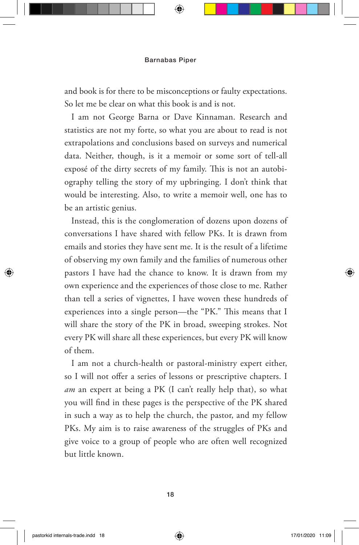and book is for there to be misconceptions or faulty expectations. So let me be clear on what this book is and is not.

I am not George Barna or Dave Kinnaman. Research and statistics are not my forte, so what you are about to read is not extrapolations and conclusions based on surveys and numerical data. Neither, though, is it a memoir or some sort of tell-all exposé of the dirty secrets of my family. This is not an autobiography telling the story of my upbringing. I don't think that would be interesting. Also, to write a memoir well, one has to be an artistic genius.

Instead, this is the conglomeration of dozens upon dozens of conversations I have shared with fellow PKs. It is drawn from emails and stories they have sent me. It is the result of a lifetime of observing my own family and the families of numerous other pastors I have had the chance to know. It is drawn from my own experience and the experiences of those close to me. Rather than tell a series of vignettes, I have woven these hundreds of experiences into a single person—the "PK." This means that I will share the story of the PK in broad, sweeping strokes. Not every PK will share all these experiences, but every PK will know of them.

I am not a church-health or pastoral-ministry expert either, so I will not offer a series of lessons or prescriptive chapters. I *am* an expert at being a PK (I can't really help that), so what you will fnd in these pages is the perspective of the PK shared in such a way as to help the church, the pastor, and my fellow PKs. My aim is to raise awareness of the struggles of PKs and give voice to a group of people who are often well recognized but little known.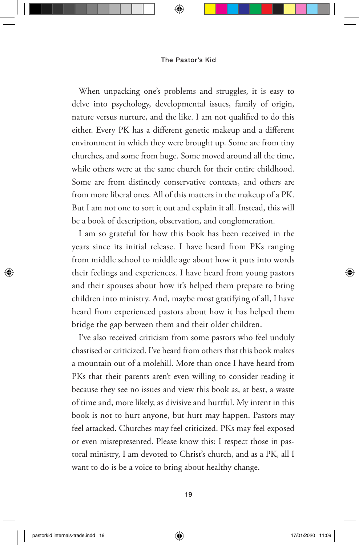#### The Pastor's Kid

When unpacking one's problems and struggles, it is easy to delve into psychology, developmental issues, family of origin, nature versus nurture, and the like. I am not qualifed to do this either. Every PK has a diferent genetic makeup and a diferent environment in which they were brought up. Some are from tiny churches, and some from huge. Some moved around all the time, while others were at the same church for their entire childhood. Some are from distinctly conservative contexts, and others are from more liberal ones. All of this matters in the makeup of a PK. But I am not one to sort it out and explain it all. Instead, this will be a book of description, observation, and conglomeration.

I am so grateful for how this book has been received in the years since its initial release. I have heard from PKs ranging from middle school to middle age about how it puts into words their feelings and experiences. I have heard from young pastors and their spouses about how it's helped them prepare to bring children into ministry. And, maybe most gratifying of all, I have heard from experienced pastors about how it has helped them bridge the gap between them and their older children.

I've also received criticism from some pastors who feel unduly chastised or criticized. I've heard from others that this book makes a mountain out of a molehill. More than once I have heard from PKs that their parents aren't even willing to consider reading it because they see no issues and view this book as, at best, a waste of time and, more likely, as divisive and hurtful. My intent in this book is not to hurt anyone, but hurt may happen. Pastors may feel attacked. Churches may feel criticized. PKs may feel exposed or even misrepresented. Please know this: I respect those in pastoral ministry, I am devoted to Christ's church, and as a PK, all I want to do is be a voice to bring about healthy change.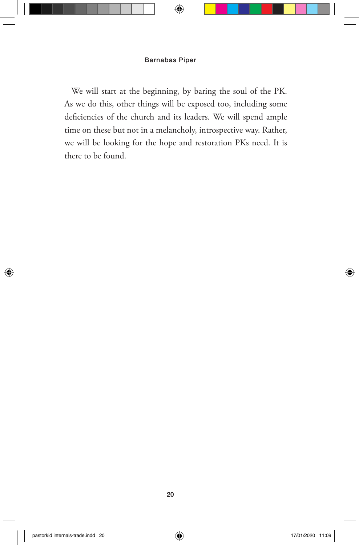#### Barnabas Piper

We will start at the beginning, by baring the soul of the PK. As we do this, other things will be exposed too, including some defciencies of the church and its leaders. We will spend ample time on these but not in a melancholy, introspective way. Rather, we will be looking for the hope and restoration PKs need. It is there to be found.